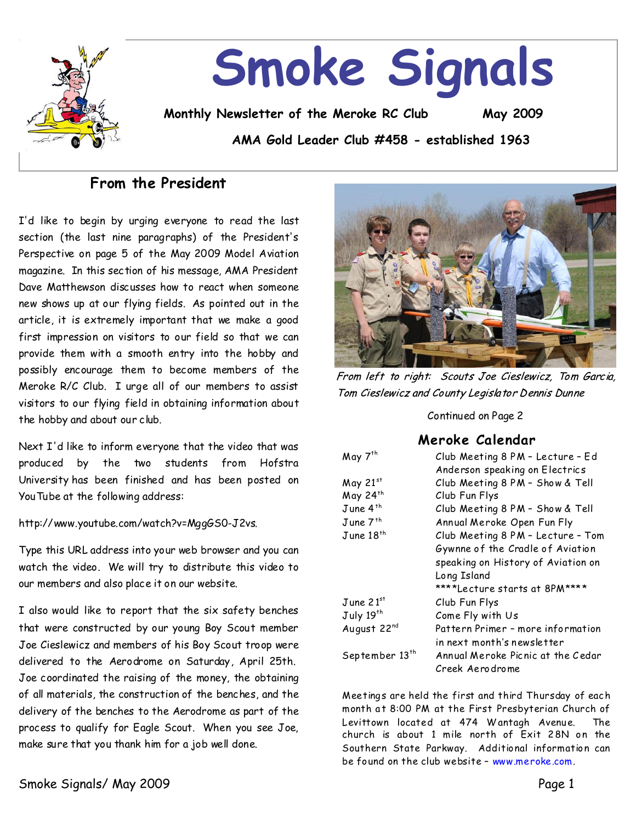

## **From the President**

I'd like to begin by urging everyone to read the last section (the last nine paragraphs) of the President's Perspective on page 5 of the May 2009 Model Aviation magazine.In this section of his message, AMA President Dave Matthewson discusses how to react when someone new shows up at our flying fields. As pointed out in the article, it is extremely important that we make a good first impression on visitors to our field so that we can provide them with a smooth entry into the hobby and possibly encourage them to become members of the Meroke R/C Club. I urge all of our members to assist visitors to our flying field in obtaining information about the hobby and about our club.

Next I'd like to inform everyone that the video that was produced by the two students from Hofstra Universityhas been finished and has been posted on YouTube at the following address:

http://www.youtube.com/watch?v=MggGS0-J2vs.

Type this URL address into your web browser and you can watch the video. We will try to distribute this video to our members and also place it on our website.

I also would like to report that the six safety benches that were constructed by our young Boy Scout member Joe Cieslewicz and members of his Boy Scout troop were delivered to the Aerodrome on Saturday, April 25th. Joe coordinated the raising of the money, the obtaining of all materials, the construction of the benches, and the delivery of the benches to the Aerodrome as part of the process to qualify for Eagle Scout. When you see Joe, make sure that you thank him for a job well done.



From left to right: Scouts Joe Cieslewicz, Tom Garcia, Tom Cieslewicz and County Legislator Dennis Dunne

Continued on Page 2

## **Meroke Calendar**

| May 7 <sup>th</sup>        | Club Meeting 8 PM - Lecture - Ed   |
|----------------------------|------------------------------------|
|                            | Anderson speaking on Electrics     |
| May 21st                   | Club Meeting 8 PM - Show & Tell    |
| May 24th                   | Club Fun Flys                      |
| June 4 <sup>th</sup>       | Club Meeting 8 PM - Show & Tell    |
| June 7 <sup>th</sup>       | Annual Meroke Open Fun Fly         |
| $J$ une 18 <sup>th</sup>   | Club Meeting 8 PM - Lecture - Tom  |
|                            | Gywnne of the Cradle of Aviation   |
|                            | speaking on History of Aviation on |
|                            | Long Island                        |
|                            | ****Lecture starts at 8PM****      |
| June $21^{st}$             | Club Fun Flys                      |
| July 19th                  | Come Fly with Us                   |
| August 22nd                | Pattern Primer - more information  |
|                            | in next month's newsletter         |
| September 13 <sup>th</sup> | Annual Meroke Picnic at the Cedar  |
|                            | Creek Aerodrome                    |

Meetings are held the first and third Thursday of each month at 8:00 PM at the First Presbyterian Church of Levittown located at 474 W antagh Avenue. The church is about 1 mile north of Exit 2 8N on the Southern State Parkway. Additional information can be found on the club website–www.meroke.com.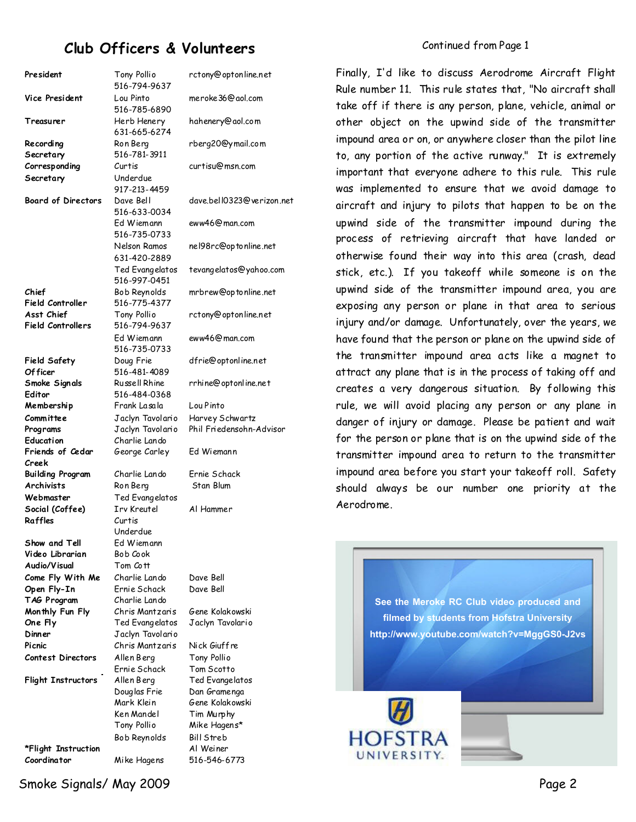# **Club Officers & Volunteers**

Finally, I'd like to discuss Aerodrome Aircraft Flight

President Tony Pollio 516-794-9637 **Vice President** Lou Pinto 516-785-6890 **Treasurer** Herb Henery 631-665-6274 **Recording Secretary** Ron Berg 516-781-3911 **Corresponding Secretary** Curtis Underdue 917-213-4459 **Board of Directors** Dave Bell 516-633-0034 Ed Wiemann 516-735-0733 Nelson Ramos 631-420-2889 Ted Evangelatos 516-997-0451 **Chief Field Controller** Bob Reynolds 516-775-4377 **Asst Chief Field Controllers** Tony Pollio 516-794-9637 Ed Wiemann 516-735-0733 **Field Safety Of ficer** Doug Frie 516-481-4089 **Smoke Signals Editor** Russell Rhine 516-484-0368 **Membership Committee** Frank Lasala Jaclyn Tavolario Lou Pinto **Programs** Jaclyn Tavolario Phil Friedensohn-Advisor **Education** Charlie Lando **Friends of Cedar Creek** George Carley Ed Wiemann **Building Program**  Charlie Lando Ernie Schack **Archivists** Ron Berg Stan Blum **Webmaster** Ted Evangelatos **Social (Coffee)** Irv Kreutel Al Hammer **Raffles** Curtis Underdue **Show and Tell**  Ed Wiemann **Video Librarian** Bob Cook **Audio/Visual**  Tom Cott **Come Fly With Me** Charlie Lando Dave Bell **Open Fly-In** Ernie Schack Dave Bell **TAG Program** Charlie Lando **Monthly Fun Fly** Chris Mantzaris Gene Kolakowski **One Fly** Ted Evangelatos Jaclyn Tavolario **Dinner** Jaclyn Tavolario **Picnic** Chris Mantzaris Nick Giuffre **Contest Directors** Allen Berg Tony Pollio Ernie Schack Tom Scotto **Flight Instructors** Allen Berg Ted Evangelatos Douglas Frie Dan Gramenga Mark Klein Gene Kolakowski Ken Mandel Tim Murphy Tony Pollio Mike Hagens\* Bob Reynolds Bill Streb **\*Flight Instruction** Al Weiner **Coordinator** Mike Hagens 516-546-6773

rctony@optonline.net meroke36@aol.com hahenery@aol.com rberg20@ymail.com curtisu@msn.com dave.bell0323@verizon.net eww46@man.com nel98rc@optonline.net tevangelatos@yahoo.com mrbrew@optonline.net rctony@optonline.net eww46@man.com dfrie@optonline.net rrhine@optonline.net Harvey Schwartz

Rule number11. This rule states that, "No aircraft shall take off if there is any person, plane, vehicle, animal or other object on the upwind side of the transmitter impound area or on, or anywhere closer than the pilot line to, any portion of the active runway." It is extremely important that everyone adhere to this rule. This rule was implemented to ensure that we avoid damage to aircraft and injury to pilots that happen to be on the upwind side of the transmitter impound during the process of retrieving aircraft that have landed or otherwise found their way into this area (crash, dead stick, etc.). If you takeoff while someone is on the upwind side of the transmitter impound area, you are exposing any person or plane in that area to serious injury and/or damage.Unfortunately, over the years, we have found that the person or plane on the upwind side of the transmitter impound area acts like a magnet to attract any plane that is in the process of taking off and creates a very dangerous situation. By following this rule, we will avoid placing any person or any plane in danger of injury or damage. Please be patient and wait for the person or plane that is on the upwind side of the transmitter impound area to return to the transmitter impound area before you start your takeoff roll. Safety should always be our number one priority at the Aerodrome.

> **See the Meroke RC Club video produced and filmed by students from Hofstra University http://www.youtube.com/watch?v=MggGS0-J2vs**

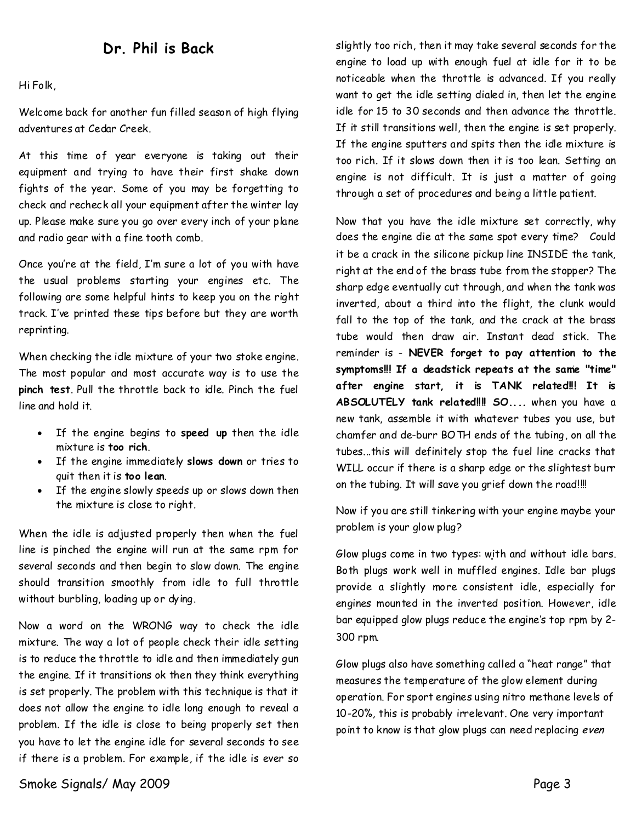## **Dr.Philis Back**

Hi Folk,

Welcome back for another fun filled season of high flying adventures at Cedar Creek.

At this time of year everyone is taking out their equipment and trying to have their first shake down fights of the year. Some of you may be forgetting to check and recheck all your equipment after the winter lay up. Please make sure you go over every inch of your plane and radio gear with a fine tooth comb.

Once you're at the field, I'm sure a lot of you with have the usual problems starting your engines etc. The following are some helpful hints to keep you on the right track. I've printed these tips before but they are worth reprinting.

When checking the idle mixture of your two stoke engine. The most popular and most accurate way is to use the **pinch test**. Pull the throttle back to idle. Pinch the fuel line and hold it.

- · If the engine begins to**speed up**then the idle mixture is**too rich**.
- · If the engine immediately**slows down**or tries to quit then it is**too lean**.
- · If the engine slowly speeds up or slows down then the mixture is close to right.

When the idle is adjusted properly then when the fuel line is pinched the engine will run at the same rpm for several seconds and then begin to slow down. The engine should transition smoothly from idle to full throttle without burbling, loading up or dying.

Now a word on the WRONG way to check the idle mixture. Theway a lot of people check their idle setting is to reduce the throttle to idle and then immediately gun the engine. If it transitions ok then they think everything is set properly. The problem with this technique is that it does not allow the engine to idle long enough to reveal a problem. If the idle is close to being properly set then you have to let the engine idle for several seconds to see if there is a problem. For example, if the idle is ever so

slightly too rich, then it may take several seconds for the engine to load up with enough fuel at idle for it to be noticeable when the throttle is advanced. If you really want to get the idle setting dialed in, then let the engine idle for 15 to 30 seconds and then advance the throttle. If it still transitions well, then the engine is set properly. If the engine sputters and spits then the idle mixture is too rich. If it slows down then it is too lean. Setting an engine is not difficult. It is just a matter of going through a set of procedures and being a little patient.

Now that you have the idle mixture set correctly, why does the engine die at the same spot every time? Could it be acrack in the silicone pickup line INSIDE the tank, right at the end of the brass tube from the stopper? The sharp edge eventually cut through, and when the tank was inverted, about a third into the flight, the clunk would fall to the top of the tank, and the crack at the brass tube would then draw air. Instant dead stick. The reminder is-**NEVER forget to pay attention to the symptoms!!! If a deadstick repeats at the same "time" after engine start, it is TANK related!!! It is ABSOLUTELY tank related!!!! SO....**when you have a new tank, assemble it with whatever tubes you use, but chamfer and de-burr BOTH ends of the tubing, on all the tubes...this will definitely stop the fuel line cracks that WILL occur if there is a sharp edge or the slightest burr on the tubing. It will save you grief down the road!!!!

Now if youare still tinkering with your engine maybe your problem is your glow plug?

Glow plugs come in two types: with and without idle bars. Both plugs work well in muffled engines. Idle bar plugs provide a slightly more consistent idle, especially for engines mounted in the inverted position. However, idle bar equipped glow plugs reduce the engine's top rpm by 2- 300 rpm.

Glow plugs also have something called a "heat range" that measures the temperature of the glow element during operation. For sport engines using nitro methane levels of 10-20%, this is probably irrelevant. One very important point to know is that glow plugs can need replacing even

Smoke Signals/May 2009 Page 3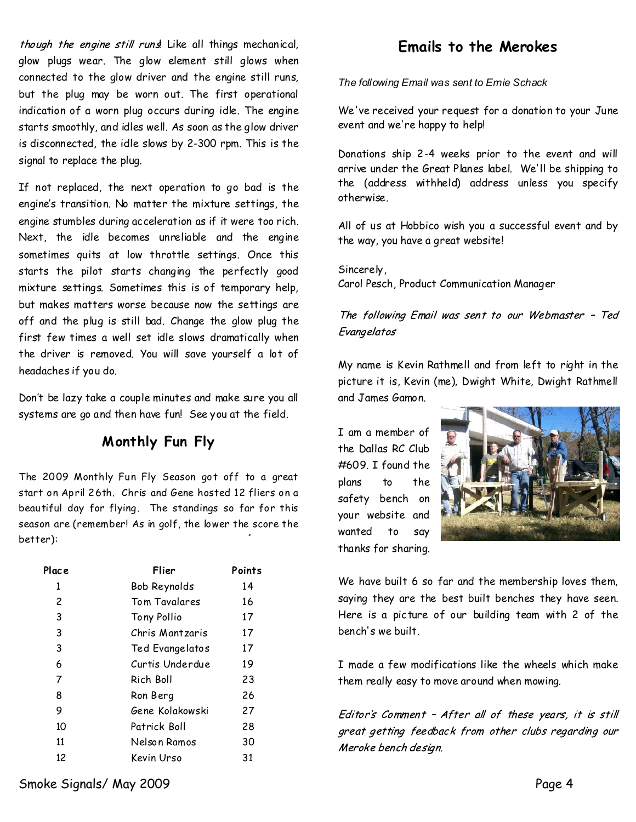though the engine still rund Like all things mechanical, glow plugs wear. The glow element still glows when connected to the glow driver and the engine still runs, but the plug may be worn out. The first operational indication of a worn plug occurs during idle. The engine starts smoothly, and idles well. As soon as the glow driver is disconnected, the idle slows by 2-300 rpm. This is the signal to replace the plug.

If not replaced, the next operation to go bad is the engine's transition. No matter the mixture settings, the engine stumbles during acceleration as if it were too rich. Next, the idle becomes unreliable and the engine sometimes quits at low throttle settings. Once this starts the pilot starts changing the perfectly good mixture settings. Sometimes this is of temporary help, but makes matters worse because now the settings are off and the plug is still bad. Change the glow plug the first few times a well set idle slows dramatically when the driver is removed. You will save yourself a lot of headaches if you do.

Don't be lazy take a couple minutes and make sure you all systems are go and then have fun! See you at the field.

## **M onthly Fun Fly**

The 2009 Monthly Fun Fly Season got off to a great starton April 26th. Chris and Gene hosted 12 fliers on a beautiful day for flying. The standings so far for this season are (remember! As in golf, the lower the score the better):

| Flier           | Points |
|-----------------|--------|
| Bob Reynolds    | 14     |
| Tom Tavalares   | 16     |
| Tony Pollio     | 17     |
| Chris Mantzaris | 17     |
| Ted Evangelatos | 17     |
| Curtis Underdue | 19     |
| Rich Boll       | 23     |
| Ron Berg        | 26     |
| Gene Kolakowski | 27     |
| Patrick Boll    | 28     |
| Nelson Ramos    | 30     |
| Kevin Urso      | 31     |
|                 |        |

# **Emails to the Merokes**

*The followingEmailwas sent to Ernie Schack*

We've received your request for a donation to your June event and we're happy to help!

Donations ship 2-4 weeks prior to the event and will arrive under the Great Planes label. We'll be shipping to the (address withheld) address unless you specify otherwise.

All of us at Hobbico wish you a successful event and by the way,you have a great website!

Sincerely, Carol Pesch, Product Communication Manager

The following Email was sent to our Webmaster - Ted Evangelatos

My name is Kevin Rathmell and from left to right in the picture it is, Kevin (me), Dwight White, Dwight Rathmell and James Gamon.

I am a member of the Dallas RC Club #609. I found the plans to the safety bench on your website and wanted to say thanks for sharing.



We have built 6 so far and the membership loves them, saying they are the best built benches they have seen. Here is a picture of our building team with 2 of the bench's we built.

I made a few modifications like the wheels which make them really easy to move around when mowing.

Editor's Comment - After all of these years, it is still great getting feedback from other clubs regarding our Meroke bench design.

Smoke Signals/ May 2009 Page 4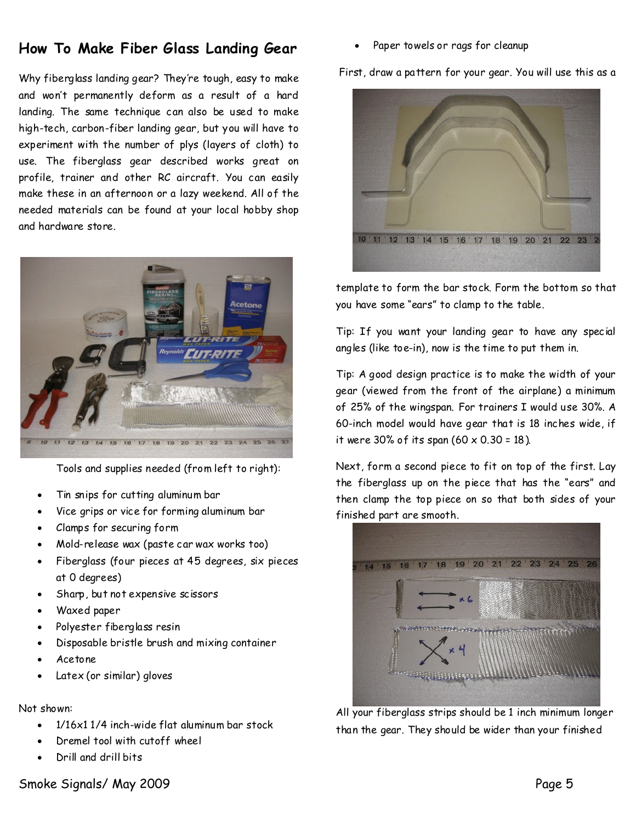# **How To Make Fiber Glass Landing Gear**

Why fiberglass landing gear? They're tough, easy to make and won't permanently deform as a result of a hard landing. The same technique can also be used to make high-tech, carbon-fiber landing gear, but you will have to experiment with the number of plys (layers of cloth) to use. The fiberglass gear described works great on profile, trainer and other RC aircraft. You can easily make these in an afternoon or a lazy weekend. All of the needed materials can be found at your local hobby shop and hardware store.



Tools and supplies needed (from left to right):

- Tin snips for cutting aluminum bar
- Vice grips or vice for forming aluminum bar
- Clamps for securing form
- · Mold-release wax (paste car wax works too)
- Fiberglass (four pieces at 45 degrees, six pieces at 0 degrees)
- Sharp, but not expensive scissors
- · Waxed paper
- Polyester fiberglass resin
- · Disposable bristle brush and mixing container
- · Acetone
- Latex (or similar) gloves

### Not shown:

- · 1/16x1 1/4 inch-wide flat aluminum bar stock
- Dremel tool with cutoff wheel
- · Drill and drill bits

Paper towels or rags for cleanup

First, draw a pattern for your gear. You will use this as a



template to form the bar stock. Form the bottom so that you have some "ears" to clamp to the table.

Tip: If you want your landing gear to have any special angles (like toe-in), now is the time to put them in.

Tip: A good design practice is to make the width of your gear (viewed from the front of the airplane) a minimum of 25% of the wingspan. For trainers I would use 30%. A 60-inch model would have gear that is 18 inches wide, if it were 30% of its span  $(60 \times 0.30 = 18)$ .

Next, form a second piece to fit on top of the first. Lay the fiberglass up on the piece that has the "ears" and then clamp the top piece on so that both sides of your finished part are smooth.



All your fiberglass strips should be 1 inch minimum longer than the gear. They should be wider than your finished

## Smoke Signals/ May 2009 Page 5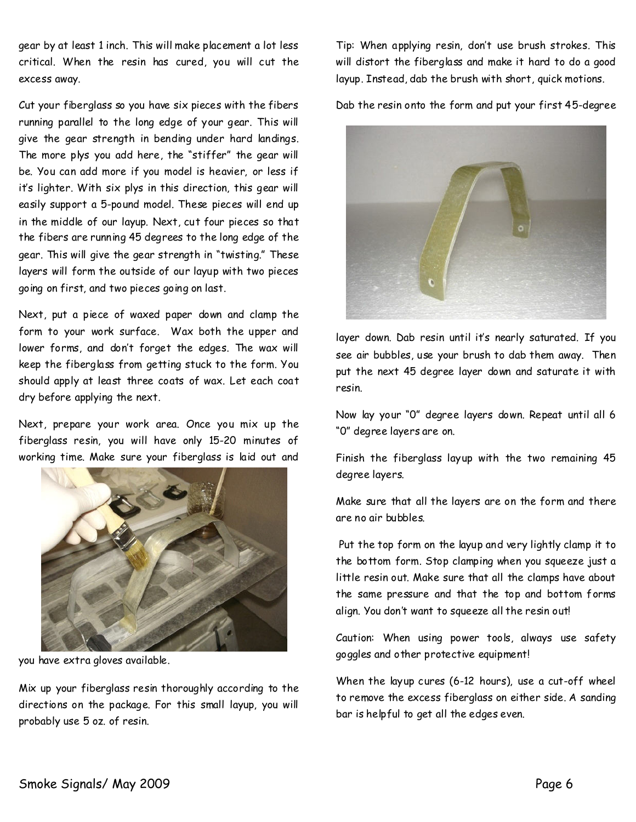gear by at least 1 inch. This will make placement a lot less critical.When the resin has cured, you will cut the excess away.

Cut your fiberglass so you have six pieces with the fibers running parallel to the long edge of your gear. This will give the gear strength in bending under hard landings. The more plys you add here, the "stiffer" the gear will be. You can add more if you model is heavier, or less if it's lighter. With six plys in this direction, this gear will easily support a 5-pound model. These pieces will end up in the middle of our layup. Next, cut four pieces so that the fibers are running 45 degrees to the long edge of the gear. This will give the gear strength in "twisting." These layers will form the outside of our layup with two pieces going on first, and two pieces going on last.

Next, put a piece of waxed paper down and clamp the form to your work surface. Wax both the upper and lower forms, and don't forget the edges. The wax will keep the fiberglass from getting stuck to the form. You shouldapplyat least three coats of wax. Let each coat dry before applying the next.

Next, prepare your work area. Once you mix up the fiberglass resin, you will have only 15-20 minutes of working time. Make sure your fiberglass is laid out and



you have extra gloves available.

Mix up your fiberglass resin thoroughly according to the directions on the package. For this small layup, you will probably use 5 oz. of resin.

Tip: When applying resin, don't use brush strokes. This will distort the fiberglass and make it hard to do a good layup. Instead, dab the brush with short, quick motions.

Dab the resin onto the form and put your first45-degree



layer down. Dab resin until it's nearly saturated. If you see air bubbles, use your brush to dab them away. Then put the next 45 degree layer down and saturate it with resin.

Now lay your "0" degree layers down. Repeat until all 6 "0" degreelayers are on.

Finish the fiberglass layup with the two remaining 45 degree layers.

Make sure that all the layers are on the form and there are no air bubbles.

Put the top form on the layup and very lightly clamp it to the bottom form. Stop clamping when you squeeze just a little resin out. Make sure that all the clamps have about the same pressure and that the top and bottom forms align. You don't want to squeeze all the resin out!

Caution: When using power tools, always use safety goggles and other protective equipment!

When the layup cures (6-12 hours), use a cut-off wheel to remove the excess fiberglass on either side. A sanding bar is helpful to get all the edges even.